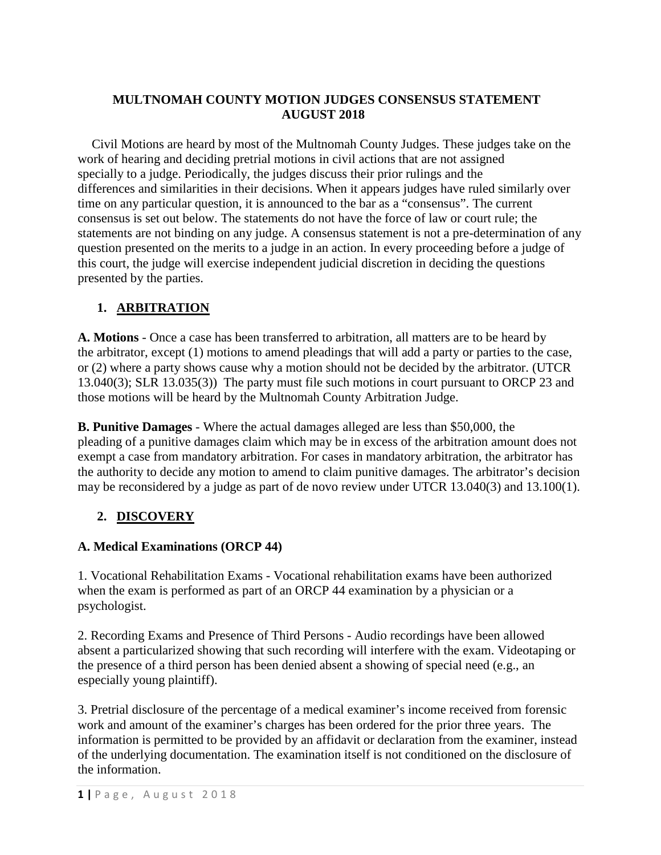### **MULTNOMAH COUNTY MOTION JUDGES CONSENSUS STATEMENT AUGUST 2018**

 Civil Motions are heard by most of the Multnomah County Judges. These judges take on the work of hearing and deciding pretrial motions in civil actions that are not assigned specially to a judge. Periodically, the judges discuss their prior rulings and the differences and similarities in their decisions. When it appears judges have ruled similarly over time on any particular question, it is announced to the bar as a "consensus". The current consensus is set out below. The statements do not have the force of law or court rule; the statements are not binding on any judge. A consensus statement is not a pre-determination of any question presented on the merits to a judge in an action. In every proceeding before a judge of this court, the judge will exercise independent judicial discretion in deciding the questions presented by the parties.

### **1. ARBITRATION**

**A. Motions** - Once a case has been transferred to arbitration, all matters are to be heard by the arbitrator, except (1) motions to amend pleadings that will add a party or parties to the case, or (2) where a party shows cause why a motion should not be decided by the arbitrator. (UTCR 13.040(3); SLR 13.035(3)) The party must file such motions in court pursuant to ORCP 23 and those motions will be heard by the Multnomah County Arbitration Judge.

**B. Punitive Damages** - Where the actual damages alleged are less than \$50,000, the pleading of a punitive damages claim which may be in excess of the arbitration amount does not exempt a case from mandatory arbitration. For cases in mandatory arbitration, the arbitrator has the authority to decide any motion to amend to claim punitive damages. The arbitrator's decision may be reconsidered by a judge as part of de novo review under UTCR 13.040(3) and 13.100(1).

## **2. DISCOVERY**

## **A. Medical Examinations (ORCP 44)**

1. Vocational Rehabilitation Exams - Vocational rehabilitation exams have been authorized when the exam is performed as part of an ORCP 44 examination by a physician or a psychologist.

2. Recording Exams and Presence of Third Persons - Audio recordings have been allowed absent a particularized showing that such recording will interfere with the exam. Videotaping or the presence of a third person has been denied absent a showing of special need (e.g., an especially young plaintiff).

3. Pretrial disclosure of the percentage of a medical examiner's income received from forensic work and amount of the examiner's charges has been ordered for the prior three years. The information is permitted to be provided by an affidavit or declaration from the examiner, instead of the underlying documentation. The examination itself is not conditioned on the disclosure of the information.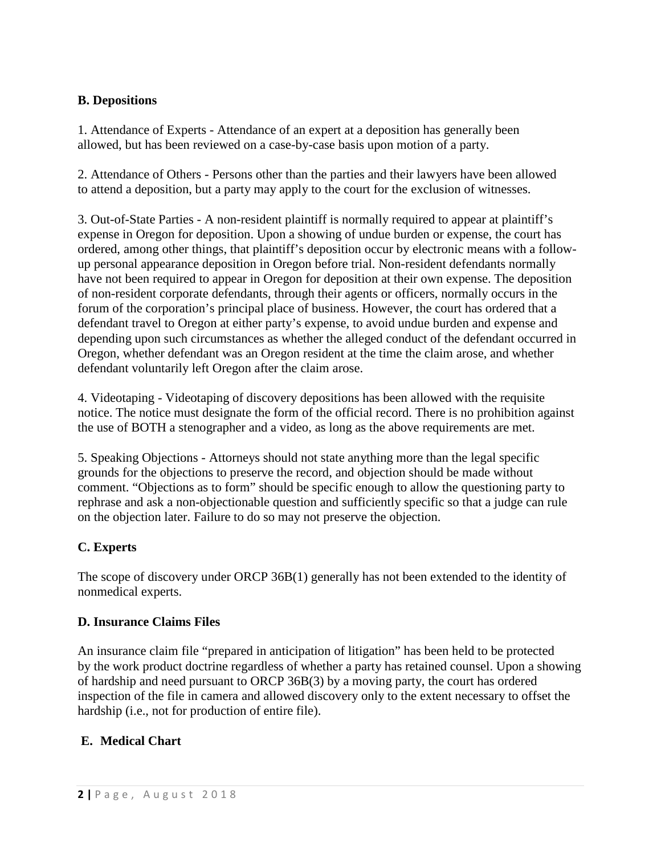### **B. Depositions**

1. Attendance of Experts - Attendance of an expert at a deposition has generally been allowed, but has been reviewed on a case-by-case basis upon motion of a party.

2. Attendance of Others - Persons other than the parties and their lawyers have been allowed to attend a deposition, but a party may apply to the court for the exclusion of witnesses.

3. Out-of-State Parties - A non-resident plaintiff is normally required to appear at plaintiff's expense in Oregon for deposition. Upon a showing of undue burden or expense, the court has ordered, among other things, that plaintiff's deposition occur by electronic means with a followup personal appearance deposition in Oregon before trial. Non-resident defendants normally have not been required to appear in Oregon for deposition at their own expense. The deposition of non-resident corporate defendants, through their agents or officers, normally occurs in the forum of the corporation's principal place of business. However, the court has ordered that a defendant travel to Oregon at either party's expense, to avoid undue burden and expense and depending upon such circumstances as whether the alleged conduct of the defendant occurred in Oregon, whether defendant was an Oregon resident at the time the claim arose, and whether defendant voluntarily left Oregon after the claim arose.

4. Videotaping - Videotaping of discovery depositions has been allowed with the requisite notice. The notice must designate the form of the official record. There is no prohibition against the use of BOTH a stenographer and a video, as long as the above requirements are met.

5. Speaking Objections - Attorneys should not state anything more than the legal specific grounds for the objections to preserve the record, and objection should be made without comment. "Objections as to form" should be specific enough to allow the questioning party to rephrase and ask a non-objectionable question and sufficiently specific so that a judge can rule on the objection later. Failure to do so may not preserve the objection.

## **C. Experts**

The scope of discovery under ORCP 36B(1) generally has not been extended to the identity of nonmedical experts.

### **D. Insurance Claims Files**

An insurance claim file "prepared in anticipation of litigation" has been held to be protected by the work product doctrine regardless of whether a party has retained counsel. Upon a showing of hardship and need pursuant to ORCP 36B(3) by a moving party, the court has ordered inspection of the file in camera and allowed discovery only to the extent necessary to offset the hardship (i.e., not for production of entire file).

## **E. Medical Chart**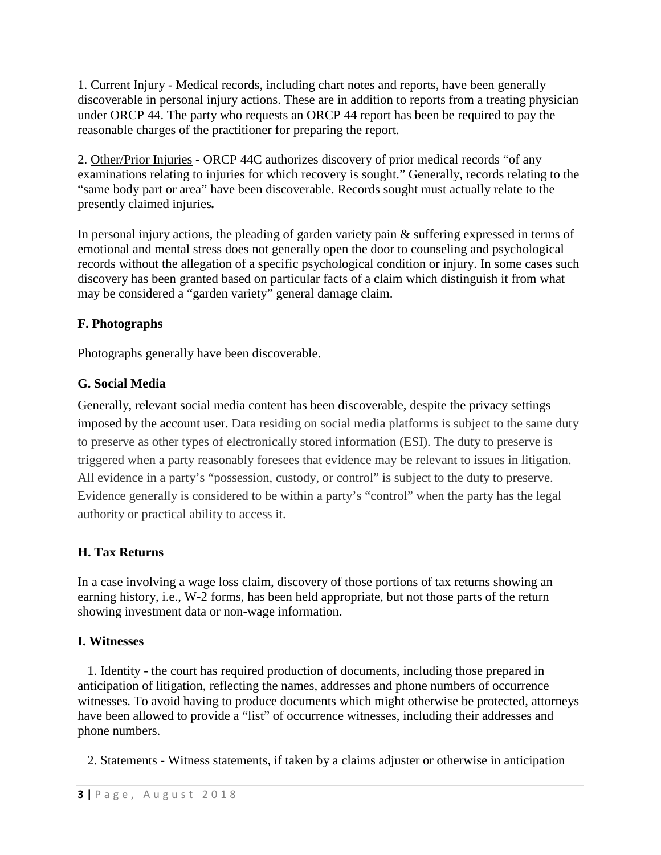1. Current Injury - Medical records, including chart notes and reports, have been generally discoverable in personal injury actions. These are in addition to reports from a treating physician under ORCP 44. The party who requests an ORCP 44 report has been be required to pay the reasonable charges of the practitioner for preparing the report.

2. Other/Prior Injuries **-** ORCP 44C authorizes discovery of prior medical records "of any examinations relating to injuries for which recovery is sought." Generally, records relating to the "same body part or area" have been discoverable. Records sought must actually relate to the presently claimed injuries*.*

In personal injury actions, the pleading of garden variety pain & suffering expressed in terms of emotional and mental stress does not generally open the door to counseling and psychological records without the allegation of a specific psychological condition or injury. In some cases such discovery has been granted based on particular facts of a claim which distinguish it from what may be considered a "garden variety" general damage claim.

# **F. Photographs**

Photographs generally have been discoverable.

# **G. Social Media**

Generally, relevant social media content has been discoverable, despite the privacy settings imposed by the account user. Data residing on social media platforms is subject to the same duty to preserve as other types of electronically stored information (ESI). The duty to preserve is triggered when a party reasonably foresees that evidence may be relevant to issues in litigation. All evidence in a party's "possession, custody, or control" is subject to the duty to preserve. Evidence generally is considered to be within a party's "control" when the party has the legal authority or practical ability to access it.

# **H. Tax Returns**

In a case involving a wage loss claim, discovery of those portions of tax returns showing an earning history, i.e., W-2 forms, has been held appropriate, but not those parts of the return showing investment data or non-wage information.

## **I. Witnesses**

 1. Identity - the court has required production of documents, including those prepared in anticipation of litigation, reflecting the names, addresses and phone numbers of occurrence witnesses. To avoid having to produce documents which might otherwise be protected, attorneys have been allowed to provide a "list" of occurrence witnesses, including their addresses and phone numbers.

2. Statements - Witness statements, if taken by a claims adjuster or otherwise in anticipation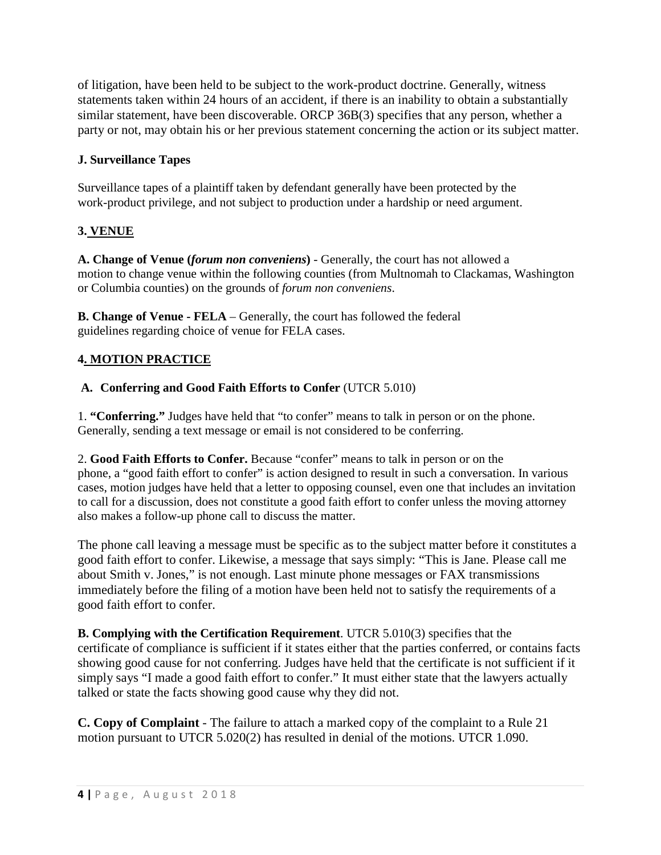of litigation, have been held to be subject to the work-product doctrine. Generally, witness statements taken within 24 hours of an accident, if there is an inability to obtain a substantially similar statement, have been discoverable. ORCP 36B(3) specifies that any person, whether a party or not, may obtain his or her previous statement concerning the action or its subject matter.

### **J. Surveillance Tapes**

Surveillance tapes of a plaintiff taken by defendant generally have been protected by the work-product privilege, and not subject to production under a hardship or need argument.

### **3. VENUE**

**A. Change of Venue (***forum non conveniens***)** - Generally, the court has not allowed a motion to change venue within the following counties (from Multnomah to Clackamas, Washington or Columbia counties) on the grounds of *forum non conveniens*.

**B. Change of Venue - FELA** – Generally, the court has followed the federal guidelines regarding choice of venue for FELA cases.

### **4. MOTION PRACTICE**

### **A. Conferring and Good Faith Efforts to Confer** (UTCR 5.010)

1. **"Conferring."** Judges have held that "to confer" means to talk in person or on the phone. Generally, sending a text message or email is not considered to be conferring.

2. **Good Faith Efforts to Confer.** Because "confer" means to talk in person or on the phone, a "good faith effort to confer" is action designed to result in such a conversation. In various cases, motion judges have held that a letter to opposing counsel, even one that includes an invitation to call for a discussion, does not constitute a good faith effort to confer unless the moving attorney also makes a follow-up phone call to discuss the matter.

The phone call leaving a message must be specific as to the subject matter before it constitutes a good faith effort to confer. Likewise, a message that says simply: "This is Jane. Please call me about Smith v. Jones," is not enough. Last minute phone messages or FAX transmissions immediately before the filing of a motion have been held not to satisfy the requirements of a good faith effort to confer.

**B. Complying with the Certification Requirement**. UTCR 5.010(3) specifies that the certificate of compliance is sufficient if it states either that the parties conferred, or contains facts showing good cause for not conferring. Judges have held that the certificate is not sufficient if it simply says "I made a good faith effort to confer." It must either state that the lawyers actually talked or state the facts showing good cause why they did not.

**C. Copy of Complaint** - The failure to attach a marked copy of the complaint to a Rule 21 motion pursuant to UTCR 5.020(2) has resulted in denial of the motions. UTCR 1.090.